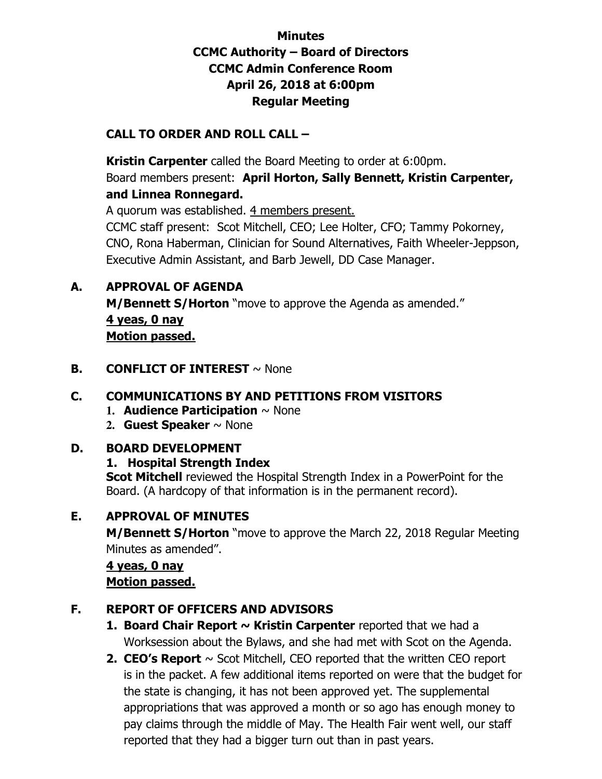# **Minutes CCMC Authority – Board of Directors CCMC Admin Conference Room April 26, 2018 at 6:00pm Regular Meeting**

# **CALL TO ORDER AND ROLL CALL –**

 **Kristin Carpenter** called the Board Meeting to order at 6:00pm. Board members present: **April Horton, Sally Bennett, Kristin Carpenter, and Linnea Ronnegard.** 

A quorum was established. 4 members present.

CCMC staff present: Scot Mitchell, CEO; Lee Holter, CFO; Tammy Pokorney, CNO, Rona Haberman, Clinician for Sound Alternatives, Faith Wheeler-Jeppson, Executive Admin Assistant, and Barb Jewell, DD Case Manager.

# **A. APPROVAL OF AGENDA**

**M/Bennett S/Horton** "move to approve the Agenda as amended." **4 yeas, 0 nay Motion passed.** 

# **B. CONFLICT OF INTEREST**  $\sim$  None

# **C. COMMUNICATIONS BY AND PETITIONS FROM VISITORS**

- **1. Audience Participation** ~ None
- **2. Guest Speaker** ~ None

#### **D. BOARD DEVELOPMENT**

#### **1. Hospital Strength Index**

**Scot Mitchell** reviewed the Hospital Strength Index in a PowerPoint for the Board. (A hardcopy of that information is in the permanent record).

# **E. APPROVAL OF MINUTES**

**M/Bennett S/Horton** "move to approve the March 22, 2018 Regular Meeting Minutes as amended".

# **4 yeas, 0 nay**

#### **Motion passed.**

# **F. REPORT OF OFFICERS AND ADVISORS**

- **1. Board Chair Report ~ Kristin Carpenter** reported that we had a Worksession about the Bylaws, and she had met with Scot on the Agenda.
- **2. CEO's Report** ~ Scot Mitchell, CEO reported that the written CEO report is in the packet. A few additional items reported on were that the budget for the state is changing, it has not been approved yet. The supplemental appropriations that was approved a month or so ago has enough money to pay claims through the middle of May. The Health Fair went well, our staff reported that they had a bigger turn out than in past years.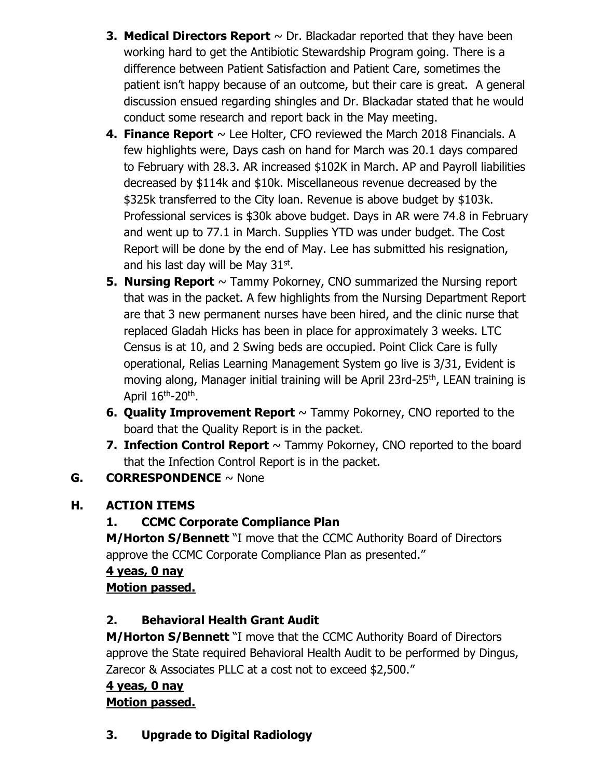- **3. Medical Directors Report**  $\sim$  Dr. Blackadar reported that they have been working hard to get the Antibiotic Stewardship Program going. There is a difference between Patient Satisfaction and Patient Care, sometimes the patient isn't happy because of an outcome, but their care is great. A general discussion ensued regarding shingles and Dr. Blackadar stated that he would conduct some research and report back in the May meeting.
- **4. Finance Report**  $\sim$  Lee Holter, CFO reviewed the March 2018 Financials. A few highlights were, Days cash on hand for March was 20.1 days compared to February with 28.3. AR increased \$102K in March. AP and Payroll liabilities decreased by \$114k and \$10k. Miscellaneous revenue decreased by the \$325k transferred to the City loan. Revenue is above budget by \$103k. Professional services is \$30k above budget. Days in AR were 74.8 in February and went up to 77.1 in March. Supplies YTD was under budget. The Cost Report will be done by the end of May. Lee has submitted his resignation, and his last day will be May 31st.
- **5. Nursing Report**  $\sim$  Tammy Pokorney, CNO summarized the Nursing report that was in the packet. A few highlights from the Nursing Department Report are that 3 new permanent nurses have been hired, and the clinic nurse that replaced Gladah Hicks has been in place for approximately 3 weeks. LTC Census is at 10, and 2 Swing beds are occupied. Point Click Care is fully operational, Relias Learning Management System go live is 3/31, Evident is moving along, Manager initial training will be April 23rd-25<sup>th</sup>, LEAN training is April 16<sup>th</sup>-20<sup>th</sup>.
- **6. Quality Improvement Report** ~ Tammy Pokorney, CNO reported to the board that the Quality Report is in the packet.
- **7. Infection Control Report**  $\sim$  Tammy Pokorney, CNO reported to the board that the Infection Control Report is in the packet.

# **G. CORRESPONDENCE** ~ None

# **H. ACTION ITEMS**

# **1. CCMC Corporate Compliance Plan**

**M/Horton S/Bennett** "I move that the CCMC Authority Board of Directors approve the CCMC Corporate Compliance Plan as presented."

#### **4 yeas, 0 nay Motion passed.**

# **2. Behavioral Health Grant Audit**

**M/Horton S/Bennett** "I move that the CCMC Authority Board of Directors approve the State required Behavioral Health Audit to be performed by Dingus, Zarecor & Associates PLLC at a cost not to exceed \$2,500."

### **4 yeas, 0 nay Motion passed.**

**3. Upgrade to Digital Radiology**